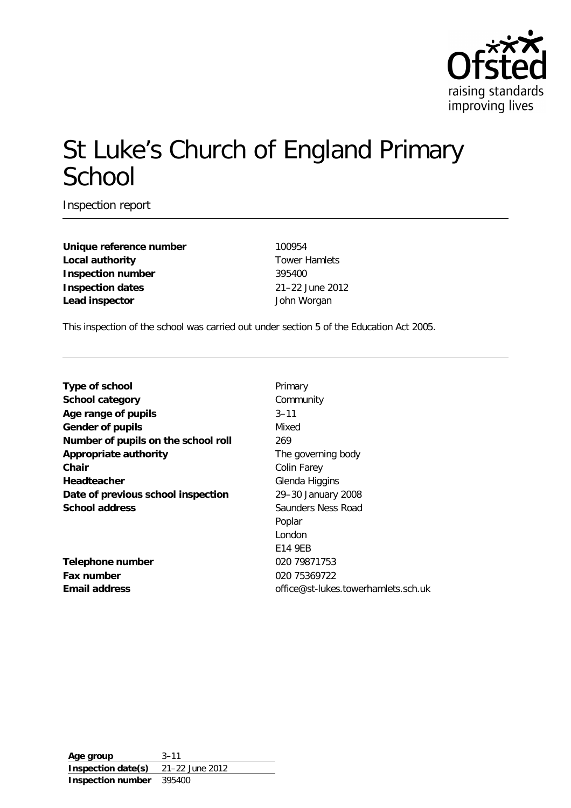

# St Luke's Church of England Primary School

Inspection report

**Unique reference number** 100954 **Local authority Tower Hamlets Inspection number** 395400 **Inspection dates** 21–22 June 2012 **Lead inspector** John Worgan

This inspection of the school was carried out under section 5 of the Education Act 2005.

| Type of school                      | Primary                             |
|-------------------------------------|-------------------------------------|
| <b>School category</b>              | Community                           |
| Age range of pupils                 | $3 - 11$                            |
| Gender of pupils                    | Mixed                               |
| Number of pupils on the school roll | 269                                 |
| Appropriate authority               | The governing body                  |
| Chair                               | Colin Farey                         |
| Headteacher                         | Glenda Higgins                      |
| Date of previous school inspection  | 29–30 January 2008                  |
| <b>School address</b>               | Saunders Ness Road                  |
|                                     | Poplar                              |
|                                     | London                              |
|                                     | E14 9EB                             |
| Telephone number                    | 020 79871753                        |
| Fax number                          | 020 75369722                        |
| <b>Email address</b>                | office@st-lukes.towerhamlets.sch.uk |
|                                     |                                     |

**Age group** 3–11 **Inspection date(s)** 21–22 June 2012 **Inspection number** 395400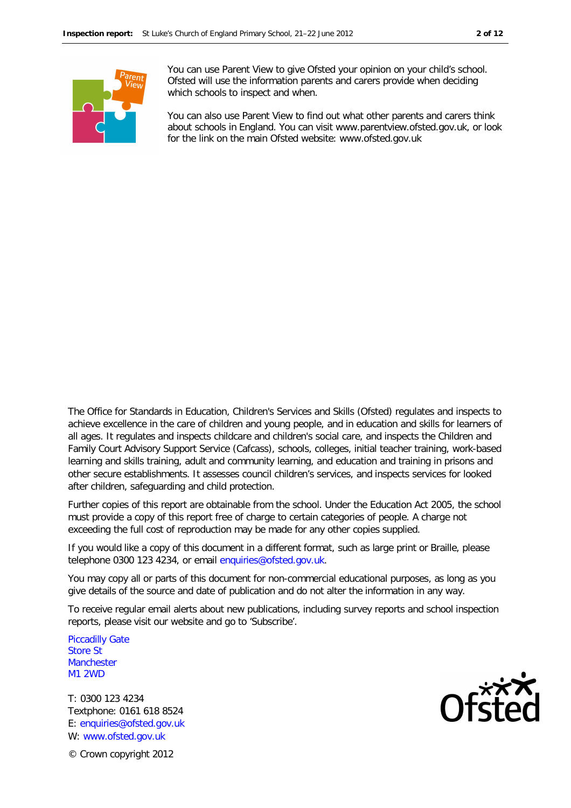

You can use Parent View to give Ofsted your opinion on your child's school. Ofsted will use the information parents and carers provide when deciding which schools to inspect and when.

You can also use Parent View to find out what other parents and carers think about schools in England. You can visit www.parentview.ofsted.gov.uk, or look for the link on the main Ofsted website: www.ofsted.gov.uk

The Office for Standards in Education, Children's Services and Skills (Ofsted) regulates and inspects to achieve excellence in the care of children and young people, and in education and skills for learners of all ages. It regulates and inspects childcare and children's social care, and inspects the Children and Family Court Advisory Support Service (Cafcass), schools, colleges, initial teacher training, work-based learning and skills training, adult and community learning, and education and training in prisons and other secure establishments. It assesses council children's services, and inspects services for looked after children, safeguarding and child protection.

Further copies of this report are obtainable from the school. Under the Education Act 2005, the school must provide a copy of this report free of charge to certain categories of people. A charge not exceeding the full cost of reproduction may be made for any other copies supplied.

If you would like a copy of this document in a different format, such as large print or Braille, please telephone 0300 123 4234, or email enquiries@ofsted.gov.uk.

You may copy all or parts of this document for non-commercial educational purposes, as long as you give details of the source and date of publication and do not alter the information in any way.

To receive regular email alerts about new publications, including survey reports and school inspection reports, please visit our website and go to 'Subscribe'.

Piccadilly Gate Store St **Manchester** M1 2WD

T: 0300 123 4234 Textphone: 0161 618 8524 E: enquiries@ofsted.gov.uk W: www.ofsted.gov.uk



© Crown copyright 2012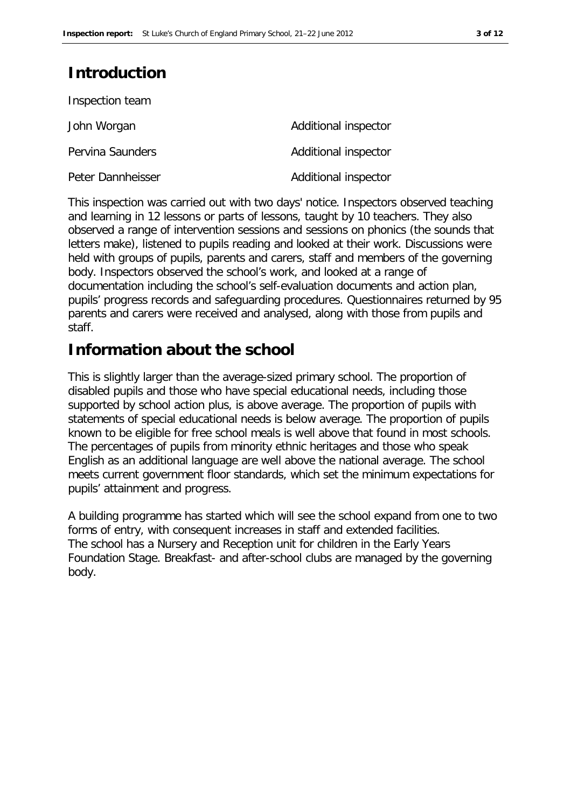# **Introduction**

| Inspection team   |                      |
|-------------------|----------------------|
| John Worgan       | Additional inspector |
| Pervina Saunders  | Additional inspector |
| Peter Dannheisser | Additional inspector |

This inspection was carried out with two days' notice. Inspectors observed teaching and learning in 12 lessons or parts of lessons, taught by 10 teachers. They also observed a range of intervention sessions and sessions on phonics (the sounds that letters make), listened to pupils reading and looked at their work. Discussions were held with groups of pupils, parents and carers, staff and members of the governing body. Inspectors observed the school's work, and looked at a range of documentation including the school's self-evaluation documents and action plan, pupils' progress records and safeguarding procedures. Questionnaires returned by 95 parents and carers were received and analysed, along with those from pupils and staff.

# **Information about the school**

This is slightly larger than the average-sized primary school. The proportion of disabled pupils and those who have special educational needs, including those supported by school action plus, is above average. The proportion of pupils with statements of special educational needs is below average. The proportion of pupils known to be eligible for free school meals is well above that found in most schools. The percentages of pupils from minority ethnic heritages and those who speak English as an additional language are well above the national average. The school meets current government floor standards, which set the minimum expectations for pupils' attainment and progress.

A building programme has started which will see the school expand from one to two forms of entry, with consequent increases in staff and extended facilities. The school has a Nursery and Reception unit for children in the Early Years Foundation Stage. Breakfast- and after-school clubs are managed by the governing body.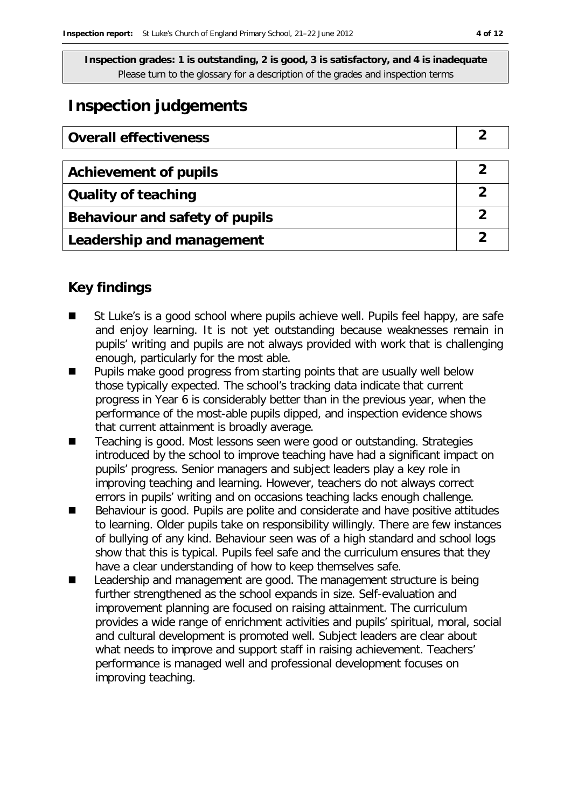# **Inspection judgements**

| <b>Overall effectiveness</b>   |   |
|--------------------------------|---|
|                                |   |
| <b>Achievement of pupils</b>   |   |
| <b>Quality of teaching</b>     | 2 |
| Behaviour and safety of pupils | 2 |
| Leadership and management      |   |

## **Key findings**

- St Luke's is a good school where pupils achieve well. Pupils feel happy, are safe and enjoy learning. It is not yet outstanding because weaknesses remain in pupils' writing and pupils are not always provided with work that is challenging enough, particularly for the most able.
- **Pupils make good progress from starting points that are usually well below** those typically expected. The school's tracking data indicate that current progress in Year 6 is considerably better than in the previous year, when the performance of the most-able pupils dipped, and inspection evidence shows that current attainment is broadly average.
- Teaching is good. Most lessons seen were good or outstanding. Strategies introduced by the school to improve teaching have had a significant impact on pupils' progress. Senior managers and subject leaders play a key role in improving teaching and learning. However, teachers do not always correct errors in pupils' writing and on occasions teaching lacks enough challenge.
- Behaviour is good. Pupils are polite and considerate and have positive attitudes to learning. Older pupils take on responsibility willingly. There are few instances of bullying of any kind. Behaviour seen was of a high standard and school logs show that this is typical. Pupils feel safe and the curriculum ensures that they have a clear understanding of how to keep themselves safe.
- Leadership and management are good. The management structure is being further strengthened as the school expands in size. Self-evaluation and improvement planning are focused on raising attainment. The curriculum provides a wide range of enrichment activities and pupils' spiritual, moral, social and cultural development is promoted well. Subject leaders are clear about what needs to improve and support staff in raising achievement. Teachers' performance is managed well and professional development focuses on improving teaching.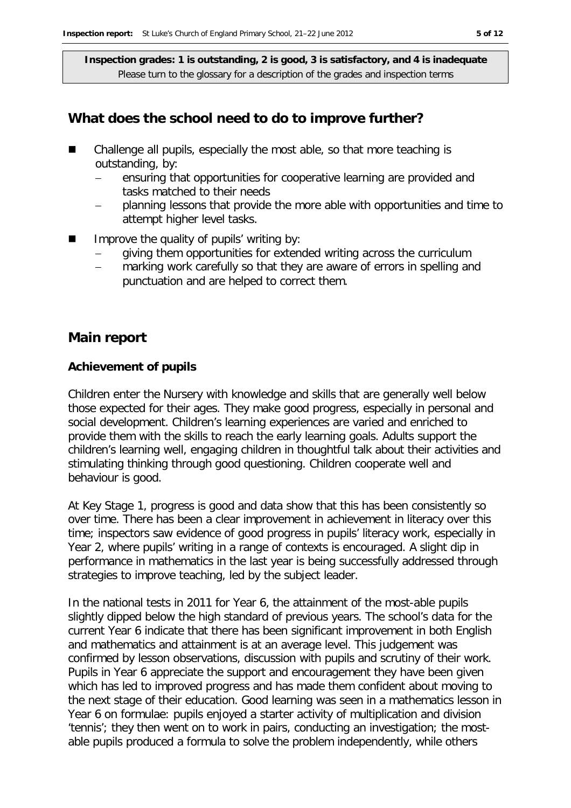### **What does the school need to do to improve further?**

- Challenge all pupils, especially the most able, so that more teaching is outstanding, by:
	- ensuring that opportunities for cooperative learning are provided and tasks matched to their needs
	- planning lessons that provide the more able with opportunities and time to attempt higher level tasks.
- Improve the quality of pupils' writing by:
	- giving them opportunities for extended writing across the curriculum
	- marking work carefully so that they are aware of errors in spelling and punctuation and are helped to correct them.

### **Main report**

#### **Achievement of pupils**

Children enter the Nursery with knowledge and skills that are generally well below those expected for their ages. They make good progress, especially in personal and social development. Children's learning experiences are varied and enriched to provide them with the skills to reach the early learning goals. Adults support the children's learning well, engaging children in thoughtful talk about their activities and stimulating thinking through good questioning. Children cooperate well and behaviour is good.

At Key Stage 1, progress is good and data show that this has been consistently so over time. There has been a clear improvement in achievement in literacy over this time; inspectors saw evidence of good progress in pupils' literacy work, especially in Year 2, where pupils' writing in a range of contexts is encouraged. A slight dip in performance in mathematics in the last year is being successfully addressed through strategies to improve teaching, led by the subject leader.

In the national tests in 2011 for Year 6, the attainment of the most-able pupils slightly dipped below the high standard of previous years. The school's data for the current Year 6 indicate that there has been significant improvement in both English and mathematics and attainment is at an average level. This judgement was confirmed by lesson observations, discussion with pupils and scrutiny of their work. Pupils in Year 6 appreciate the support and encouragement they have been given which has led to improved progress and has made them confident about moving to the next stage of their education. Good learning was seen in a mathematics lesson in Year 6 on formulae: pupils enjoyed a starter activity of multiplication and division 'tennis'; they then went on to work in pairs, conducting an investigation; the mostable pupils produced a formula to solve the problem independently, while others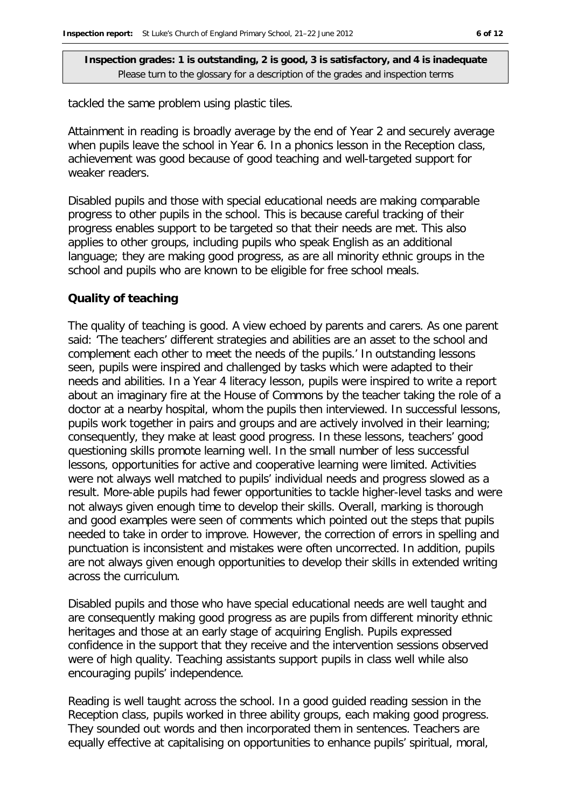tackled the same problem using plastic tiles.

Attainment in reading is broadly average by the end of Year 2 and securely average when pupils leave the school in Year 6. In a phonics lesson in the Reception class, achievement was good because of good teaching and well-targeted support for weaker readers.

Disabled pupils and those with special educational needs are making comparable progress to other pupils in the school. This is because careful tracking of their progress enables support to be targeted so that their needs are met. This also applies to other groups, including pupils who speak English as an additional language; they are making good progress, as are all minority ethnic groups in the school and pupils who are known to be eligible for free school meals.

#### **Quality of teaching**

The quality of teaching is good. A view echoed by parents and carers. As one parent said: 'The teachers' different strategies and abilities are an asset to the school and complement each other to meet the needs of the pupils.' In outstanding lessons seen, pupils were inspired and challenged by tasks which were adapted to their needs and abilities. In a Year 4 literacy lesson, pupils were inspired to write a report about an imaginary fire at the House of Commons by the teacher taking the role of a doctor at a nearby hospital, whom the pupils then interviewed. In successful lessons, pupils work together in pairs and groups and are actively involved in their learning; consequently, they make at least good progress. In these lessons, teachers' good questioning skills promote learning well. In the small number of less successful lessons, opportunities for active and cooperative learning were limited. Activities were not always well matched to pupils' individual needs and progress slowed as a result. More-able pupils had fewer opportunities to tackle higher-level tasks and were not always given enough time to develop their skills. Overall, marking is thorough and good examples were seen of comments which pointed out the steps that pupils needed to take in order to improve. However, the correction of errors in spelling and punctuation is inconsistent and mistakes were often uncorrected. In addition, pupils are not always given enough opportunities to develop their skills in extended writing across the curriculum.

Disabled pupils and those who have special educational needs are well taught and are consequently making good progress as are pupils from different minority ethnic heritages and those at an early stage of acquiring English. Pupils expressed confidence in the support that they receive and the intervention sessions observed were of high quality. Teaching assistants support pupils in class well while also encouraging pupils' independence.

Reading is well taught across the school. In a good guided reading session in the Reception class, pupils worked in three ability groups, each making good progress. They sounded out words and then incorporated them in sentences. Teachers are equally effective at capitalising on opportunities to enhance pupils' spiritual, moral,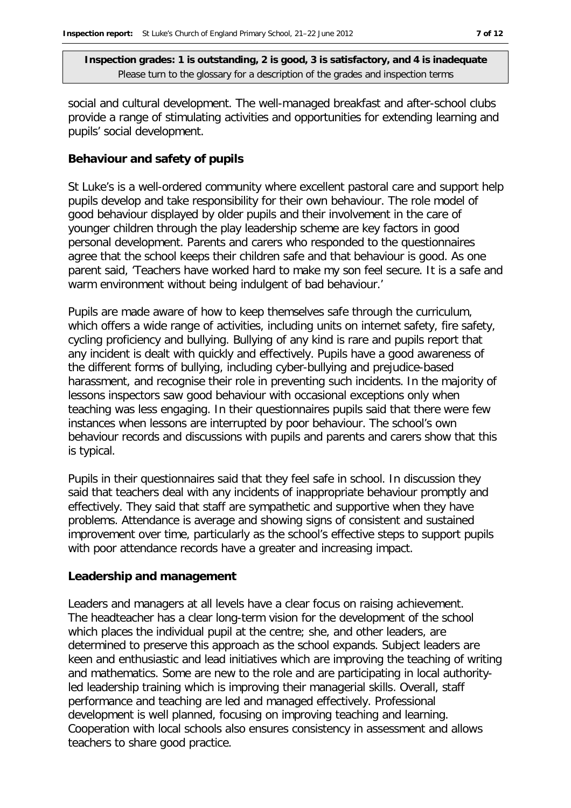social and cultural development. The well-managed breakfast and after-school clubs provide a range of stimulating activities and opportunities for extending learning and pupils' social development.

#### **Behaviour and safety of pupils**

St Luke's is a well-ordered community where excellent pastoral care and support help pupils develop and take responsibility for their own behaviour. The role model of good behaviour displayed by older pupils and their involvement in the care of younger children through the play leadership scheme are key factors in good personal development. Parents and carers who responded to the questionnaires agree that the school keeps their children safe and that behaviour is good. As one parent said, 'Teachers have worked hard to make my son feel secure. It is a safe and warm environment without being indulgent of bad behaviour.'

Pupils are made aware of how to keep themselves safe through the curriculum, which offers a wide range of activities, including units on internet safety, fire safety, cycling proficiency and bullying. Bullying of any kind is rare and pupils report that any incident is dealt with quickly and effectively. Pupils have a good awareness of the different forms of bullying, including cyber-bullying and prejudice-based harassment, and recognise their role in preventing such incidents. In the majority of lessons inspectors saw good behaviour with occasional exceptions only when teaching was less engaging. In their questionnaires pupils said that there were few instances when lessons are interrupted by poor behaviour. The school's own behaviour records and discussions with pupils and parents and carers show that this is typical.

Pupils in their questionnaires said that they feel safe in school. In discussion they said that teachers deal with any incidents of inappropriate behaviour promptly and effectively. They said that staff are sympathetic and supportive when they have problems. Attendance is average and showing signs of consistent and sustained improvement over time, particularly as the school's effective steps to support pupils with poor attendance records have a greater and increasing impact.

#### **Leadership and management**

Leaders and managers at all levels have a clear focus on raising achievement. The headteacher has a clear long-term vision for the development of the school which places the individual pupil at the centre; she, and other leaders, are determined to preserve this approach as the school expands. Subject leaders are keen and enthusiastic and lead initiatives which are improving the teaching of writing and mathematics. Some are new to the role and are participating in local authorityled leadership training which is improving their managerial skills. Overall, staff performance and teaching are led and managed effectively. Professional development is well planned, focusing on improving teaching and learning. Cooperation with local schools also ensures consistency in assessment and allows teachers to share good practice.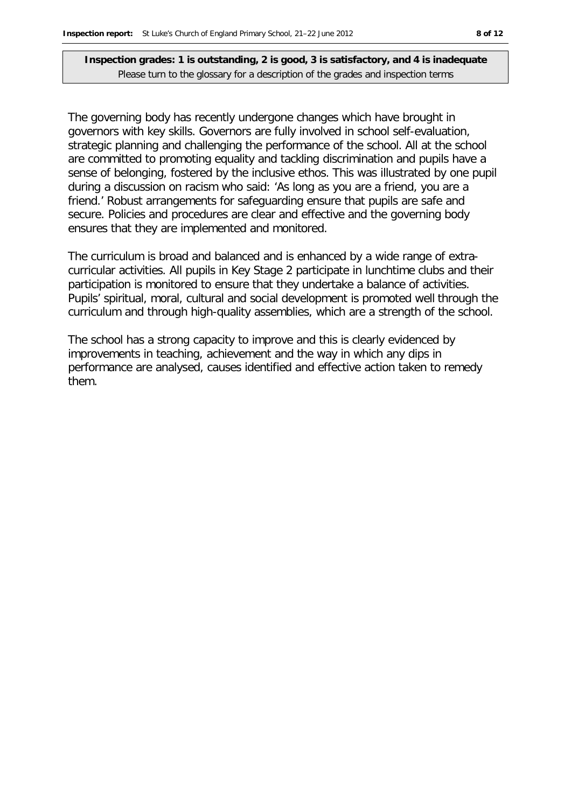The governing body has recently undergone changes which have brought in governors with key skills. Governors are fully involved in school self-evaluation, strategic planning and challenging the performance of the school. All at the school are committed to promoting equality and tackling discrimination and pupils have a sense of belonging, fostered by the inclusive ethos. This was illustrated by one pupil during a discussion on racism who said: 'As long as you are a friend, you are a friend.' Robust arrangements for safeguarding ensure that pupils are safe and secure. Policies and procedures are clear and effective and the governing body ensures that they are implemented and monitored.

The curriculum is broad and balanced and is enhanced by a wide range of extracurricular activities. All pupils in Key Stage 2 participate in lunchtime clubs and their participation is monitored to ensure that they undertake a balance of activities. Pupils' spiritual, moral, cultural and social development is promoted well through the curriculum and through high-quality assemblies, which are a strength of the school.

The school has a strong capacity to improve and this is clearly evidenced by improvements in teaching, achievement and the way in which any dips in performance are analysed, causes identified and effective action taken to remedy them.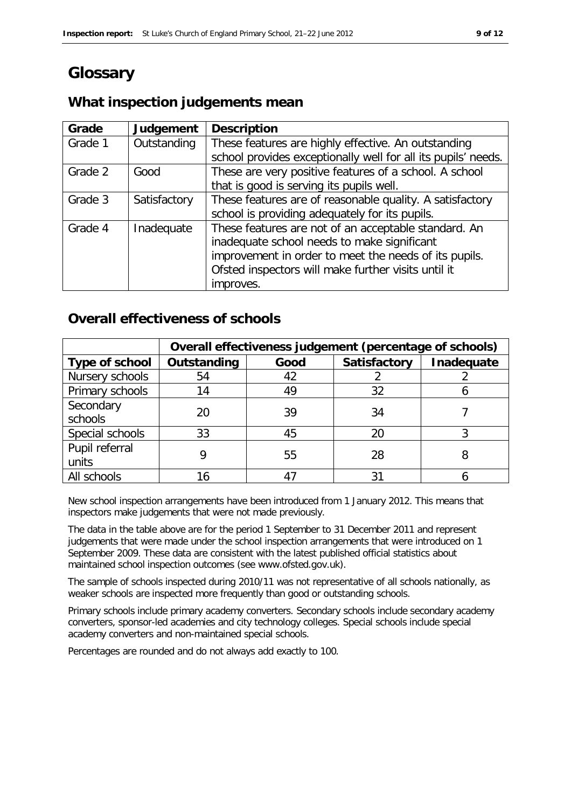# **Glossary**

### **What inspection judgements mean**

| Grade   | Judgement    | <b>Description</b>                                            |
|---------|--------------|---------------------------------------------------------------|
| Grade 1 | Outstanding  | These features are highly effective. An outstanding           |
|         |              | school provides exceptionally well for all its pupils' needs. |
| Grade 2 | Good         | These are very positive features of a school. A school        |
|         |              | that is good is serving its pupils well.                      |
| Grade 3 | Satisfactory | These features are of reasonable quality. A satisfactory      |
|         |              | school is providing adequately for its pupils.                |
| Grade 4 | Inadequate   | These features are not of an acceptable standard. An          |
|         |              | inadequate school needs to make significant                   |
|         |              | improvement in order to meet the needs of its pupils.         |
|         |              | Ofsted inspectors will make further visits until it           |
|         |              | improves.                                                     |

## **Overall effectiveness of schools**

|                 | Overall effectiveness judgement (percentage of schools) |      |                     |            |
|-----------------|---------------------------------------------------------|------|---------------------|------------|
| Type of school  | Outstanding                                             | Good | <b>Satisfactory</b> | Inadequate |
| Nursery schools | 54                                                      | 42   |                     |            |
| Primary schools | 14                                                      | 49   | 32                  |            |
| Secondary       | 20                                                      | 39   | 34                  |            |
| schools         |                                                         |      |                     |            |
| Special schools | 33                                                      | 45   | 20                  |            |
| Pupil referral  |                                                         | 55   | 28                  | 8          |
| units           |                                                         |      |                     |            |
| All schools     |                                                         |      | 31                  |            |

New school inspection arrangements have been introduced from 1 January 2012. This means that inspectors make judgements that were not made previously.

The data in the table above are for the period 1 September to 31 December 2011 and represent judgements that were made under the school inspection arrangements that were introduced on 1 September 2009. These data are consistent with the latest published official statistics about maintained school inspection outcomes (see www.ofsted.gov.uk).

The sample of schools inspected during 2010/11 was not representative of all schools nationally, as weaker schools are inspected more frequently than good or outstanding schools.

Primary schools include primary academy converters. Secondary schools include secondary academy converters, sponsor-led academies and city technology colleges. Special schools include special academy converters and non-maintained special schools.

Percentages are rounded and do not always add exactly to 100.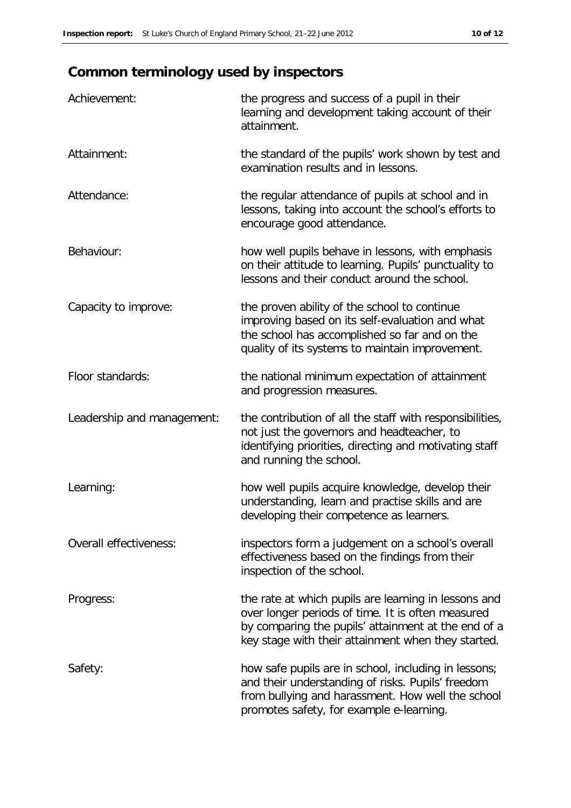# **Common terminology used by inspectors**

| Achievement:                  | the progress and success of a pupil in their<br>learning and development taking account of their<br>attainment.                                                                                                        |
|-------------------------------|------------------------------------------------------------------------------------------------------------------------------------------------------------------------------------------------------------------------|
| Attainment:                   | the standard of the pupils' work shown by test and<br>examination results and in lessons.                                                                                                                              |
| Attendance:                   | the regular attendance of pupils at school and in<br>lessons, taking into account the school's efforts to<br>encourage good attendance.                                                                                |
| Behaviour:                    | how well pupils behave in lessons, with emphasis<br>on their attitude to learning. Pupils' punctuality to<br>lessons and their conduct around the school.                                                              |
| Capacity to improve:          | the proven ability of the school to continue<br>improving based on its self-evaluation and what<br>the school has accomplished so far and on the<br>quality of its systems to maintain improvement.                    |
| Floor standards:              | the national minimum expectation of attainment<br>and progression measures.                                                                                                                                            |
| Leadership and management:    | the contribution of all the staff with responsibilities,<br>not just the governors and headteacher, to<br>identifying priorities, directing and motivating staff<br>and running the school.                            |
| Learning:                     | how well pupils acquire knowledge, develop their<br>understanding, learn and practise skills and are<br>developing their competence as learners.                                                                       |
| <b>Overall effectiveness:</b> | inspectors form a judgement on a school's overall<br>effectiveness based on the findings from their<br>inspection of the school.                                                                                       |
| Progress:                     | the rate at which pupils are learning in lessons and<br>over longer periods of time. It is often measured<br>by comparing the pupils' attainment at the end of a<br>key stage with their attainment when they started. |
| Safety:                       | how safe pupils are in school, including in lessons;<br>and their understanding of risks. Pupils' freedom<br>from bullying and harassment. How well the school<br>promotes safety, for example e-learning.             |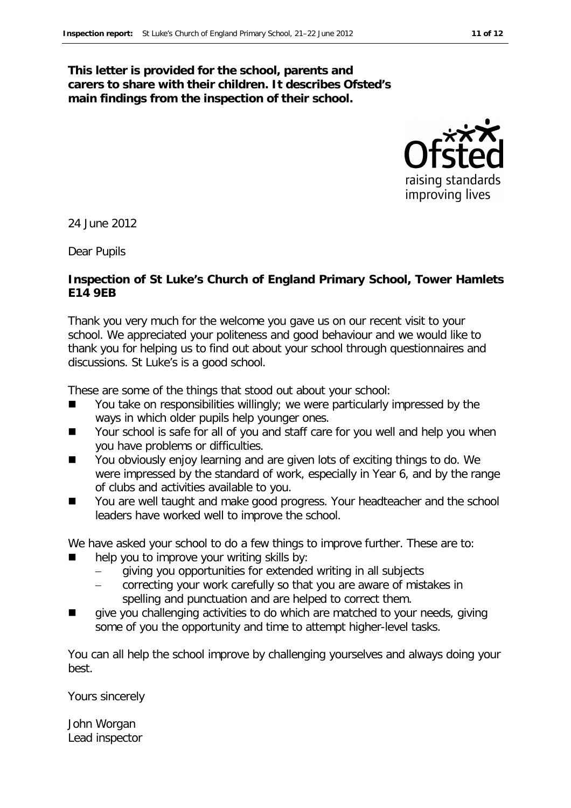### **This letter is provided for the school, parents and carers to share with their children. It describes Ofsted's main findings from the inspection of their school.**



24 June 2012

Dear Pupils

#### **Inspection of St Luke's Church of England Primary School, Tower Hamlets E14 9EB**

Thank you very much for the welcome you gave us on our recent visit to your school. We appreciated your politeness and good behaviour and we would like to thank you for helping us to find out about your school through questionnaires and discussions. St Luke's is a good school.

These are some of the things that stood out about your school:

- You take on responsibilities willingly; we were particularly impressed by the ways in which older pupils help younger ones.
- $\blacksquare$  Your school is safe for all of you and staff care for you well and help you when you have problems or difficulties.
- You obviously enjoy learning and are given lots of exciting things to do. We were impressed by the standard of work, especially in Year 6, and by the range of clubs and activities available to you.
- You are well taught and make good progress. Your headteacher and the school leaders have worked well to improve the school.

We have asked your school to do a few things to improve further. These are to:

- help you to improve your writing skills by:
	- giving you opportunities for extended writing in all subjects
	- correcting your work carefully so that you are aware of mistakes in spelling and punctuation and are helped to correct them.
- **T** give you challenging activities to do which are matched to your needs, giving some of you the opportunity and time to attempt higher-level tasks.

You can all help the school improve by challenging yourselves and always doing your best.

Yours sincerely

John Worgan Lead inspector